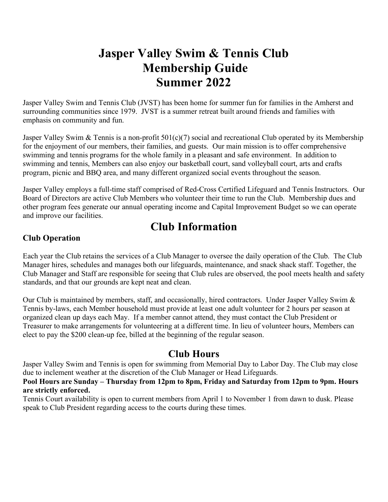# **Jasper Valley Swim & Tennis Club Membership Guide Summer 2022**

Jasper Valley Swim and Tennis Club (JVST) has been home for summer fun for families in the Amherst and surrounding communities since 1979. JVST is a summer retreat built around friends and families with emphasis on community and fun.

Jasper Valley Swim & Tennis is a non-profit 501(c)(7) social and recreational Club operated by its Membership for the enjoyment of our members, their families, and guests. Our main mission is to offer comprehensive swimming and tennis programs for the whole family in a pleasant and safe environment. In addition to swimming and tennis, Members can also enjoy our basketball court, sand volleyball court, arts and crafts program, picnic and BBQ area, and many different organized social events throughout the season.

Jasper Valley employs a full-time staff comprised of Red-Cross Certified Lifeguard and Tennis Instructors. Our Board of Directors are active Club Members who volunteer their time to run the Club. Membership dues and other program fees generate our annual operating income and Capital Improvement Budget so we can operate and improve our facilities.

## **Club Information**

#### **Club Operation**

Each year the Club retains the services of a Club Manager to oversee the daily operation of the Club. The Club Manager hires, schedules and manages both our lifeguards, maintenance, and snack shack staff. Together, the Club Manager and Staff are responsible for seeing that Club rules are observed, the pool meets health and safety standards, and that our grounds are kept neat and clean.

Our Club is maintained by members, staff, and occasionally, hired contractors. Under Jasper Valley Swim  $\&$ Tennis by-laws, each Member household must provide at least one adult volunteer for 2 hours per season at organized clean up days each May. If a member cannot attend, they must contact the Club President or Treasurer to make arrangements for volunteering at a different time. In lieu of volunteer hours, Members can elect to pay the \$200 clean-up fee, billed at the beginning of the regular season.

## **Club Hours**

Jasper Valley Swim and Tennis is open for swimming from Memorial Day to Labor Day. The Club may close due to inclement weather at the discretion of the Club Manager or Head Lifeguards.

#### **Pool Hours are Sunday – Thursday from 12pm to 8pm, Friday and Saturday from 12pm to 9pm. Hours are strictly enforced.**

Tennis Court availability is open to current members from April 1 to November 1 from dawn to dusk. Please speak to Club President regarding access to the courts during these times.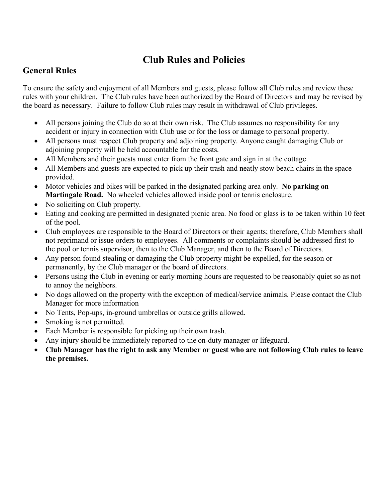## **Club Rules and Policies**

## **General Rules**

To ensure the safety and enjoyment of all Members and guests, please follow all Club rules and review these rules with your children. The Club rules have been authorized by the Board of Directors and may be revised by the board as necessary. Failure to follow Club rules may result in withdrawal of Club privileges.

- All persons joining the Club do so at their own risk. The Club assumes no responsibility for any accident or injury in connection with Club use or for the loss or damage to personal property.
- All persons must respect Club property and adjoining property. Anyone caught damaging Club or adjoining property will be held accountable for the costs.
- All Members and their guests must enter from the front gate and sign in at the cottage.
- All Members and guests are expected to pick up their trash and neatly stow beach chairs in the space provided.
- Motor vehicles and bikes will be parked in the designated parking area only. **No parking on Martingale Road.** No wheeled vehicles allowed inside pool or tennis enclosure.
- No soliciting on Club property.
- Eating and cooking are permitted in designated picnic area. No food or glass is to be taken within 10 feet of the pool.
- Club employees are responsible to the Board of Directors or their agents; therefore, Club Members shall not reprimand or issue orders to employees. All comments or complaints should be addressed first to the pool or tennis supervisor, then to the Club Manager, and then to the Board of Directors.
- Any person found stealing or damaging the Club property might be expelled, for the season or permanently, by the Club manager or the board of directors.
- Persons using the Club in evening or early morning hours are requested to be reasonably quiet so as not to annoy the neighbors.
- No dogs allowed on the property with the exception of medical/service animals. Please contact the Club Manager for more information
- No Tents, Pop-ups, in-ground umbrellas or outside grills allowed.
- Smoking is not permitted.
- Each Member is responsible for picking up their own trash.
- Any injury should be immediately reported to the on-duty manager or lifeguard.
- Club Manager has the right to ask any Member or guest who are not following Club rules to leave **the premises.**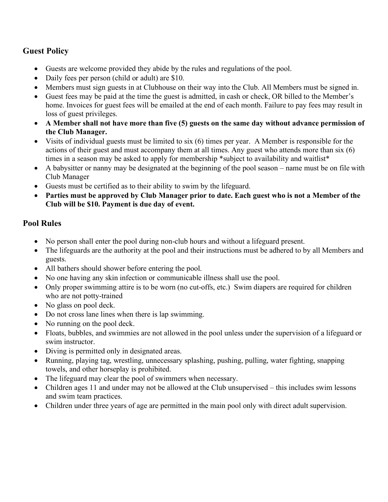#### **Guest Policy**

- Guests are welcome provided they abide by the rules and regulations of the pool.
- Daily fees per person (child or adult) are \$10.
- Members must sign guests in at Clubhouse on their way into the Club. All Members must be signed in.
- Guest fees may be paid at the time the guest is admitted, in cash or check, OR billed to the Member's home. Invoices for guest fees will be emailed at the end of each month. Failure to pay fees may result in loss of guest privileges.
- **A Member shall not have more than five (5) guests on the same day without advance permission of the Club Manager.**
- Visits of individual guests must be limited to six (6) times per year. A Member is responsible for the actions of their guest and must accompany them at all times. Any guest who attends more than six (6) times in a season may be asked to apply for membership \*subject to availability and waitlist\*
- A babysitter or nanny may be designated at the beginning of the pool season name must be on file with Club Manager
- Guests must be certified as to their ability to swim by the lifeguard.
- Parties must be approved by Club Manager prior to date. Each guest who is not a Member of the **Club will be \$10. Payment is due day of event.**

#### **Pool Rules**

- No person shall enter the pool during non-club hours and without a lifeguard present.
- The lifeguards are the authority at the pool and their instructions must be adhered to by all Members and guests.
- All bathers should shower before entering the pool.
- No one having any skin infection or communicable illness shall use the pool.
- Only proper swimming attire is to be worn (no cut-offs, etc.) Swim diapers are required for children who are not potty-trained
- No glass on pool deck.
- Do not cross lane lines when there is lap swimming.
- No running on the pool deck.
- Floats, bubbles, and swimmies are not allowed in the pool unless under the supervision of a lifeguard or swim instructor.
- Diving is permitted only in designated areas.
- Running, playing tag, wrestling, unnecessary splashing, pushing, pulling, water fighting, snapping towels, and other horseplay is prohibited.
- The lifeguard may clear the pool of swimmers when necessary.
- Children ages 11 and under may not be allowed at the Club unsupervised this includes swim lessons and swim team practices.
- Children under three years of age are permitted in the main pool only with direct adult supervision.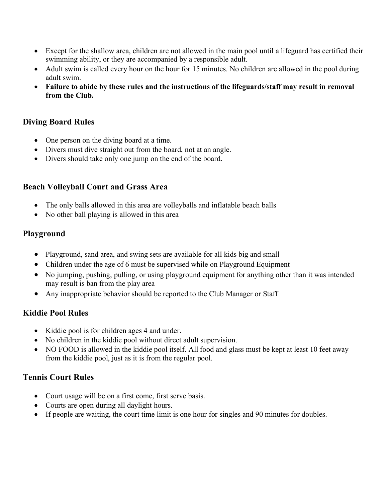- Except for the shallow area, children are not allowed in the main pool until a lifeguard has certified their swimming ability, or they are accompanied by a responsible adult.
- Adult swim is called every hour on the hour for 15 minutes. No children are allowed in the pool during adult swim.
- **Failure to abide by these rules and the instructions of the lifeguards/staff may result in removal from the Club.**

#### **Diving Board Rules**

- One person on the diving board at a time.
- Divers must dive straight out from the board, not at an angle.
- Divers should take only one jump on the end of the board.

#### **Beach Volleyball Court and Grass Area**

- The only balls allowed in this area are volleyballs and inflatable beach balls
- No other ball playing is allowed in this area

#### **Playground**

- Playground, sand area, and swing sets are available for all kids big and small
- Children under the age of 6 must be supervised while on Playground Equipment
- No jumping, pushing, pulling, or using playground equipment for anything other than it was intended may result is ban from the play area
- Any inappropriate behavior should be reported to the Club Manager or Staff

#### **Kiddie Pool Rules**

- Kiddie pool is for children ages 4 and under.
- No children in the kiddie pool without direct adult supervision.
- NO FOOD is allowed in the kiddie pool itself. All food and glass must be kept at least 10 feet away from the kiddie pool, just as it is from the regular pool.

#### **Tennis Court Rules**

- Court usage will be on a first come, first serve basis.
- Courts are open during all daylight hours.
- If people are waiting, the court time limit is one hour for singles and 90 minutes for doubles.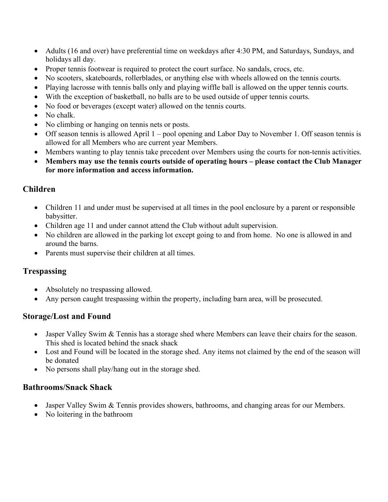- Adults (16 and over) have preferential time on weekdays after 4:30 PM, and Saturdays, Sundays, and holidays all day.
- Proper tennis footwear is required to protect the court surface. No sandals, crocs, etc.
- No scooters, skateboards, rollerblades, or anything else with wheels allowed on the tennis courts.
- Playing lacrosse with tennis balls only and playing wiffle ball is allowed on the upper tennis courts.
- With the exception of basketball, no balls are to be used outside of upper tennis courts.
- No food or beverages (except water) allowed on the tennis courts.
- No chalk.
- No climbing or hanging on tennis nets or posts.
- Off season tennis is allowed April 1 pool opening and Labor Day to November 1. Off season tennis is allowed for all Members who are current year Members.
- Members wanting to play tennis take precedent over Members using the courts for non-tennis activities.
- **Members may use the tennis courts outside of operating hours please contact the Club Manager for more information and access information.**

#### **Children**

- Children 11 and under must be supervised at all times in the pool enclosure by a parent or responsible babysitter.
- Children age 11 and under cannot attend the Club without adult supervision.
- No children are allowed in the parking lot except going to and from home. No one is allowed in and around the barns.
- Parents must supervise their children at all times.

#### **Trespassing**

- Absolutely no trespassing allowed.
- Any person caught trespassing within the property, including barn area, will be prosecuted.

#### **Storage/Lost and Found**

- Jasper Valley Swim & Tennis has a storage shed where Members can leave their chairs for the season. This shed is located behind the snack shack
- Lost and Found will be located in the storage shed. Any items not claimed by the end of the season will be donated
- No persons shall play/hang out in the storage shed.

#### **Bathrooms/Snack Shack**

- Jasper Valley Swim & Tennis provides showers, bathrooms, and changing areas for our Members.
- No loitering in the bathroom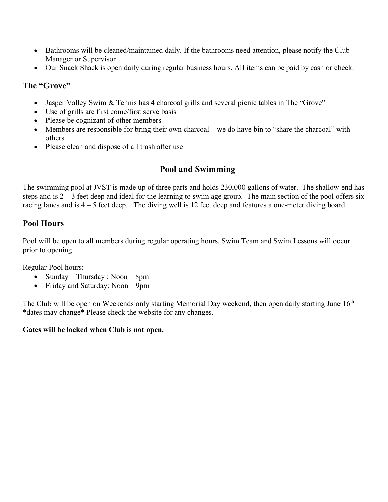- Bathrooms will be cleaned/maintained daily. If the bathrooms need attention, please notify the Club Manager or Supervisor
- Our Snack Shack is open daily during regular business hours. All items can be paid by cash or check.

#### **The "Grove"**

- Jasper Valley Swim & Tennis has 4 charcoal grills and several picnic tables in The "Grove"
- Use of grills are first come/first serve basis
- Please be cognizant of other members
- Members are responsible for bring their own charcoal we do have bin to "share the charcoal" with others
- Please clean and dispose of all trash after use

### **Pool and Swimming**

The swimming pool at JVST is made up of three parts and holds 230,000 gallons of water. The shallow end has steps and is  $2 - 3$  feet deep and ideal for the learning to swim age group. The main section of the pool offers six racing lanes and is 4 – 5 feet deep. The diving well is 12 feet deep and features a one-meter diving board.

#### **Pool Hours**

Pool will be open to all members during regular operating hours. Swim Team and Swim Lessons will occur prior to opening

Regular Pool hours:

- Sunday Thursday : Noon 8pm
- Friday and Saturday: Noon 9pm

The Club will be open on Weekends only starting Memorial Day weekend, then open daily starting June 16<sup>th</sup> \*dates may change\* Please check the website for any changes.

#### **Gates will be locked when Club is not open.**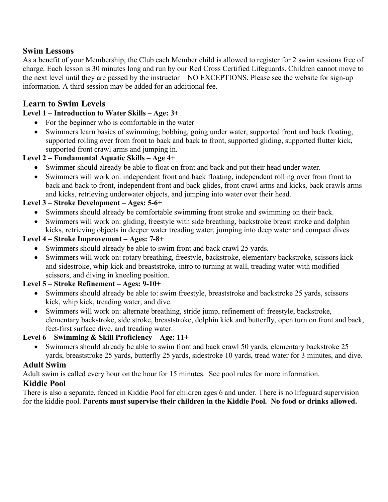#### **Swim Lessons**

As a benefit of your Membership, the Club each Member child is allowed to register for 2 swim sessions free of charge. Each lesson is 30 minutes long and run by our Red Cross Certified Lifeguards. Children cannot move to the next level until they are passed by the instructor – NO EXCEPTIONS. Please see the website for sign-up information. A third session may be added for an additional fee.

#### **Learn to Swim Levels**

#### **Level 1 – Introduction to Water Skills – Age: 3+**

- For the beginner who is comfortable in the water
- Swimmers learn basics of swimming; bobbing, going under water, supported front and back floating, supported rolling over from front to back and back to front, supported gliding, supported flutter kick, supported front crawl arms and jumping in.

#### **Level 2 – Fundamental Aquatic Skills – Age 4+**

- Swimmer should already be able to float on front and back and put their head under water.
- Swimmers will work on: independent front and back floating, independent rolling over from front to back and back to front, independent front and back glides, front crawl arms and kicks, back crawls arms and kicks, retrieving underwater objects, and jumping into water over their head.

#### **Level 3 – Stroke Development – Ages: 5-6+**

- Swimmers should already be comfortable swimming front stroke and swimming on their back.
- Swimmers will work on: gliding, freestyle with side breathing, backstroke breast stroke and dolphin kicks, retrieving objects in deeper water treading water, jumping into deep water and compact dives

#### **Level 4 – Stroke Improvement – Ages: 7-8+**

- Swimmers should already be able to swim front and back crawl 25 yards.
- Swimmers will work on: rotary breathing, freestyle, backstroke, elementary backstroke, scissors kick and sidestroke, whip kick and breaststroke, intro to turning at wall, treading water with modified scissors, and diving in kneeling position.

#### **Level 5 – Stroke Refinement – Ages: 9-10+**

- Swimmers should already be able to: swim freestyle, breaststroke and backstroke 25 yards, scissors kick, whip kick, treading water, and dive.
- Swimmers will work on: alternate breathing, stride jump, refinement of: freestyle, backstroke, elementary backstroke, side stroke, breaststroke, dolphin kick and butterfly, open turn on front and back, feet-first surface dive, and treading water.

#### **Level 6 – Swimming & Skill Proficiency – Age: 11+**

• Swimmers should already be able to swim front and back crawl 50 yards, elementary backstroke 25 yards, breaststroke 25 yards, butterfly 25 yards, sidestroke 10 yards, tread water for 3 minutes, and dive.

#### **Adult Swim**

Adult swim is called every hour on the hour for 15 minutes. See pool rules for more information.

#### **Kiddie Pool**

There is also a separate, fenced in Kiddie Pool for children ages 6 and under. There is no lifeguard supervision for the kiddie pool. **Parents must supervise their children in the Kiddie Pool. No food or drinks allowed.**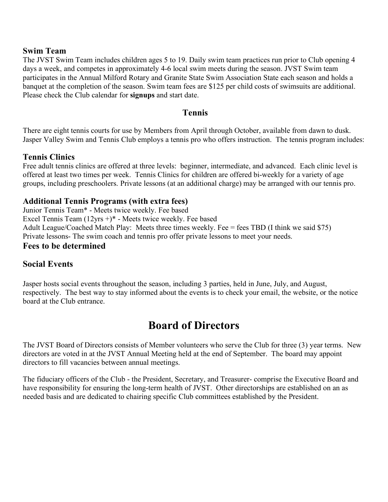#### **Swim Team**

The JVST Swim Team includes children ages 5 to 19. Daily swim team practices run prior to Club opening 4 days a week, and competes in approximately 4-6 local swim meets during the season. JVST Swim team participates in the Annual Milford Rotary and Granite State Swim Association State each season and holds a banquet at the completion of the season. Swim team fees are \$125 per child costs of swimsuits are additional. Please check the Club calendar for **signups** and start date.

#### **Tennis**

There are eight tennis courts for use by Members from April through October, available from dawn to dusk. Jasper Valley Swim and Tennis Club employs a tennis pro who offers instruction. The tennis program includes:

#### **Tennis Clinics**

Free adult tennis clinics are offered at three levels: beginner, intermediate, and advanced. Each clinic level is offered at least two times per week. Tennis Clinics for children are offered bi-weekly for a variety of age groups, including preschoolers. Private lessons (at an additional charge) may be arranged with our tennis pro.

#### **Additional Tennis Programs (with extra fees)**

Junior Tennis Team\* - Meets twice weekly. Fee based Excel Tennis Team  $(12\gamma rs +)*$  - Meets twice weekly. Fee based Adult League/Coached Match Play: Meets three times weekly. Fee = fees TBD (I think we said \$75) Private lessons- The swim coach and tennis pro offer private lessons to meet your needs. **Fees to be determined**

#### **Social Events**

Jasper hosts social events throughout the season, including 3 parties, held in June, July, and August, respectively. The best way to stay informed about the events is to check your email, the website, or the notice board at the Club entrance.

## **Board of Directors**

The JVST Board of Directors consists of Member volunteers who serve the Club for three (3) year terms. New directors are voted in at the JVST Annual Meeting held at the end of September. The board may appoint directors to fill vacancies between annual meetings.

The fiduciary officers of the Club - the President, Secretary, and Treasurer- comprise the Executive Board and have responsibility for ensuring the long-term health of JVST. Other directorships are established on an as needed basis and are dedicated to chairing specific Club committees established by the President.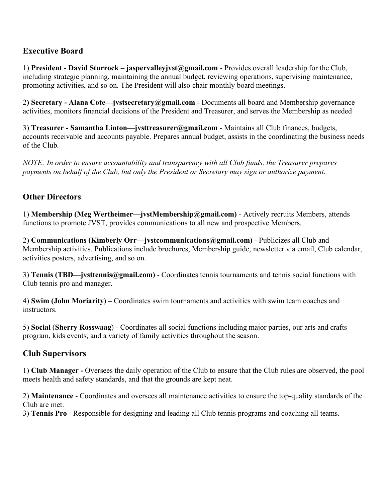#### **Executive Board**

1) **President - David Sturrock – jaspervalleyjvst@gmail.com** - Provides overall leadership for the Club, including strategic planning, maintaining the annual budget, reviewing operations, supervising maintenance, promoting activities, and so on. The President will also chair monthly board meetings.

2**) Secretary - Alana Cote—jvstsecretary@gmail.com** - Documents all board and Membership governance activities, monitors financial decisions of the President and Treasurer, and serves the Membership as needed

3) **Treasurer - Samantha Linton—jvsttreasurer@gmail.com** - Maintains all Club finances, budgets, accounts receivable and accounts payable. Prepares annual budget, assists in the coordinating the business needs of the Club.

*NOTE: In order to ensure accountability and transparency with all Club funds, the Treasurer prepares payments on behalf of the Club, but only the President or Secretary may sign or authorize payment.*

#### **Other Directors**

1) **Membership (Meg Wertheimer—jvstMembership@gmail.com)** - Actively recruits Members, attends functions to promote JVST, provides communications to all new and prospective Members.

2) **Communications (Kimberly Orr—jvstcommunications@gmail.com)** - Publicizes all Club and Membership activities. Publications include brochures, Membership guide, newsletter via email, Club calendar, activities posters, advertising, and so on.

3) **Tennis (TBD—jvsttennis@gmail.com)** - Coordinates tennis tournaments and tennis social functions with Club tennis pro and manager.

4) **Swim (John Moriarity) –** Coordinates swim tournaments and activities with swim team coaches and instructors.

5) **Social** (**Sherry Rosswaag**) - Coordinates all social functions including major parties, our arts and crafts program, kids events, and a variety of family activities throughout the season.

### **Club Supervisors**

1) **Club Manager -** Oversees the daily operation of the Club to ensure [th](mailto:manager@jaspervalley.com)at the Club rules are observed, the pool meets health and safety standards, and that the grounds are kept neat.

2) **Maintenance** - Coordinates and oversees all maintenance activities to ensure the top-quality standards of the Club are met.

3) **Tennis Pro** - Responsible for designing and leading all Club tennis programs and coaching all teams.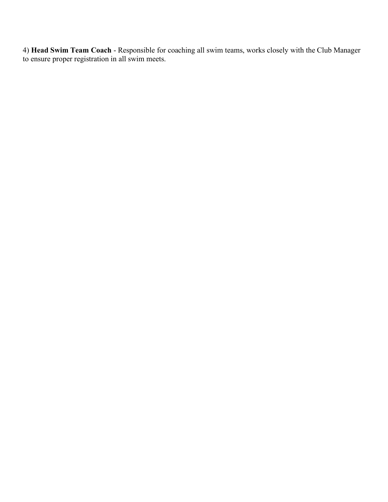4) **Head Swim Team Coach** - Responsible for coaching all swim teams, works closely with the Club Manager to ensure proper registration in all swim meets.